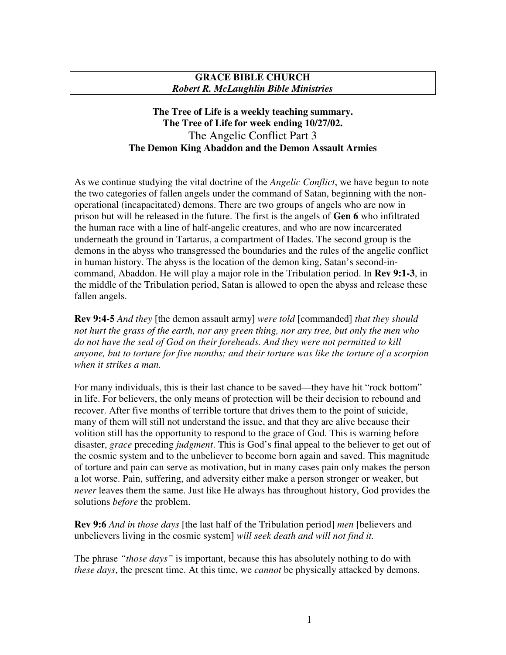## **GRACE BIBLE CHURCH** *Robert R. McLaughlin Bible Ministries*

## **The Tree of Life is a weekly teaching summary. The Tree of Life for week ending 10/27/02.** The Angelic Conflict Part 3 **The Demon King Abaddon and the Demon Assault Armies**

As we continue studying the vital doctrine of the *Angelic Conflict*, we have begun to note the two categories of fallen angels under the command of Satan, beginning with the nonoperational (incapacitated) demons. There are two groups of angels who are now in prison but will be released in the future. The first is the angels of **Gen 6** who infiltrated the human race with a line of half-angelic creatures, and who are now incarcerated underneath the ground in Tartarus, a compartment of Hades. The second group is the demons in the abyss who transgressed the boundaries and the rules of the angelic conflict in human history. The abyss is the location of the demon king, Satan's second-incommand, Abaddon. He will play a major role in the Tribulation period. In **Rev 9:1-3**, in the middle of the Tribulation period, Satan is allowed to open the abyss and release these fallen angels.

**Rev 9:4-5** *And they* [the demon assault army] *were told* [commanded] *that they should not hurt the grass of the earth, nor any green thing, nor any tree, but only the men who do not have the seal of God on their foreheads. And they were not permitted to kill anyone, but to torture for five months; and their torture was like the torture of a scorpion when it strikes a man.*

For many individuals, this is their last chance to be saved—they have hit "rock bottom" in life. For believers, the only means of protection will be their decision to rebound and recover. After five months of terrible torture that drives them to the point of suicide, many of them will still not understand the issue, and that they are alive because their volition still has the opportunity to respond to the grace of God. This is warning before disaster, *grace* preceding *judgment*. This is God's final appeal to the believer to get out of the cosmic system and to the unbeliever to become born again and saved. This magnitude of torture and pain can serve as motivation, but in many cases pain only makes the person a lot worse. Pain, suffering, and adversity either make a person stronger or weaker, but *never* leaves them the same. Just like He always has throughout history, God provides the solutions *before* the problem.

**Rev 9:6** *And in those days* [the last half of the Tribulation period] *men* [believers and unbelievers living in the cosmic system] *will seek death and will not find it.*

The phrase *"those days"* is important, because this has absolutely nothing to do with *these days*, the present time. At this time, we *cannot* be physically attacked by demons.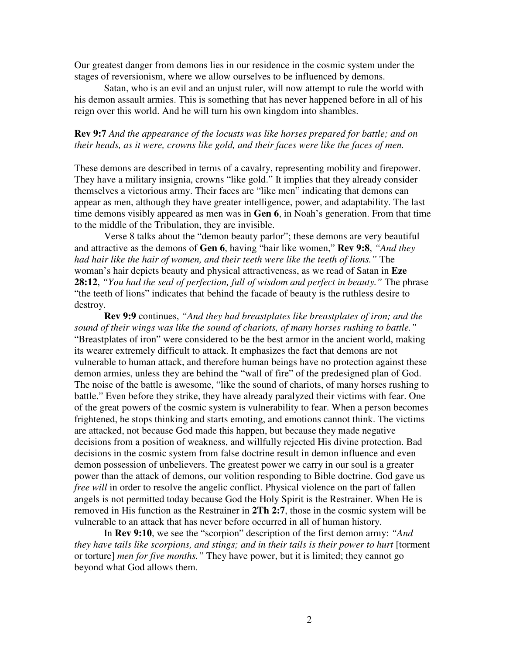Our greatest danger from demons lies in our residence in the cosmic system under the stages of reversionism, where we allow ourselves to be influenced by demons.

Satan, who is an evil and an unjust ruler, will now attempt to rule the world with his demon assault armies. This is something that has never happened before in all of his reign over this world. And he will turn his own kingdom into shambles.

## **Rev 9:7** *And the appearance of the locusts was like horses prepared for battle; and on their heads, as it were, crowns like gold, and their faces were like the faces of men.*

These demons are described in terms of a cavalry, representing mobility and firepower. They have a military insignia, crowns "like gold." It implies that they already consider themselves a victorious army. Their faces are "like men" indicating that demons can appear as men, although they have greater intelligence, power, and adaptability. The last time demons visibly appeared as men was in **Gen 6**, in Noah's generation. From that time to the middle of the Tribulation, they are invisible.

Verse 8 talks about the "demon beauty parlor"; these demons are very beautiful and attractive as the demons of **Gen 6**, having "hair like women," **Rev 9:8**, *"And they had hair like the hair of women, and their teeth were like the teeth of lions."* The woman's hair depicts beauty and physical attractiveness, as we read of Satan in **Eze 28:12**, *"You had the seal of perfection, full of wisdom and perfect in beauty."* The phrase "the teeth of lions" indicates that behind the facade of beauty is the ruthless desire to destroy.

**Rev 9:9** continues, *"And they had breastplates like breastplates of iron; and the sound of their wings was like the sound of chariots, of many horses rushing to battle."* "Breastplates of iron" were considered to be the best armor in the ancient world, making its wearer extremely difficult to attack. It emphasizes the fact that demons are not vulnerable to human attack, and therefore human beings have no protection against these demon armies, unless they are behind the "wall of fire" of the predesigned plan of God. The noise of the battle is awesome, "like the sound of chariots, of many horses rushing to battle." Even before they strike, they have already paralyzed their victims with fear. One of the great powers of the cosmic system is vulnerability to fear. When a person becomes frightened, he stops thinking and starts emoting, and emotions cannot think. The victims are attacked, not because God made this happen, but because they made negative decisions from a position of weakness, and willfully rejected His divine protection. Bad decisions in the cosmic system from false doctrine result in demon influence and even demon possession of unbelievers. The greatest power we carry in our soul is a greater power than the attack of demons, our volition responding to Bible doctrine. God gave us *free will* in order to resolve the angelic conflict. Physical violence on the part of fallen angels is not permitted today because God the Holy Spirit is the Restrainer. When He is removed in His function as the Restrainer in **2Th 2:7**, those in the cosmic system will be vulnerable to an attack that has never before occurred in all of human history.

In **Rev 9:10**, we see the "scorpion" description of the first demon army: *"And they have tails like scorpions, and stings; and in their tails is their power to hurt* [torment or torture] *men for five months."* They have power, but it is limited; they cannot go beyond what God allows them.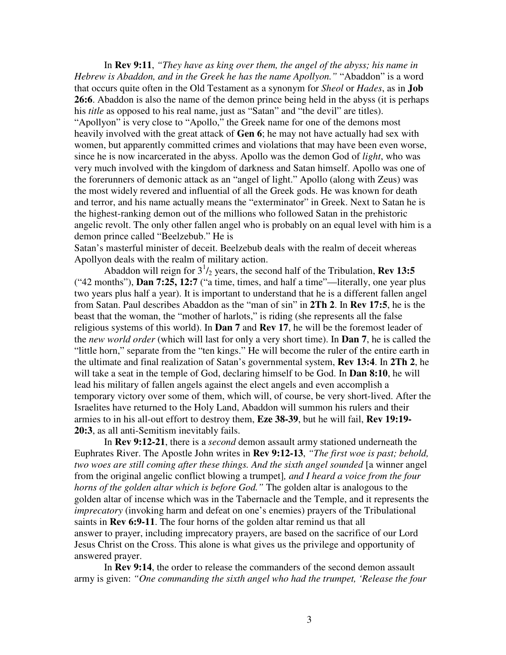In **Rev 9:11**, *"They have as king over them, the angel of the abyss; his name in Hebrew is Abaddon, and in the Greek he has the name Apollyon."* "Abaddon" is a word that occurs quite often in the Old Testament as a synonym for *Sheol* or *Hades*, as in **Job 26:6**. Abaddon is also the name of the demon prince being held in the abyss (it is perhaps his *title* as opposed to his real name, just as "Satan" and "the devil" are titles). "Apollyon" is very close to "Apollo," the Greek name for one of the demons most heavily involved with the great attack of **Gen 6**; he may not have actually had sex with women, but apparently committed crimes and violations that may have been even worse, since he is now incarcerated in the abyss. Apollo was the demon God of *light*, who was very much involved with the kingdom of darkness and Satan himself. Apollo was one of the forerunners of demonic attack as an "angel of light." Apollo (along with Zeus) was the most widely revered and influential of all the Greek gods. He was known for death and terror, and his name actually means the "exterminator" in Greek. Next to Satan he is the highest-ranking demon out of the millions who followed Satan in the prehistoric angelic revolt. The only other fallen angel who is probably on an equal level with him is a demon prince called "Beelzebub." He is

Satan's masterful minister of deceit. Beelzebub deals with the realm of deceit whereas Apollyon deals with the realm of military action.

Abaddon will reign for 3 1 /<sup>2</sup> years, the second half of the Tribulation, **Rev 13:5** ("42 months"), **Dan 7:25, 12:7** ("a time, times, and half a time"—literally, one year plus two years plus half a year). It is important to understand that he is a different fallen angel from Satan. Paul describes Abaddon as the "man of sin" in **2Th 2**. In **Rev 17:5**, he is the beast that the woman, the "mother of harlots," is riding (she represents all the false religious systems of this world). In **Dan 7** and **Rev 17**, he will be the foremost leader of the *new world order* (which will last for only a very short time). In **Dan 7**, he is called the "little horn," separate from the "ten kings." He will become the ruler of the entire earth in the ultimate and final realization of Satan's governmental system, **Rev 13:4**. In **2Th 2**, he will take a seat in the temple of God, declaring himself to be God. In **Dan 8:10**, he will lead his military of fallen angels against the elect angels and even accomplish a temporary victory over some of them, which will, of course, be very short-lived. After the Israelites have returned to the Holy Land, Abaddon will summon his rulers and their armies to in his all-out effort to destroy them, **Eze 38-39**, but he will fail, **Rev 19:19- 20:3**, as all anti-Semitism inevitably fails.

In **Rev 9:12-21**, there is a *second* demon assault army stationed underneath the Euphrates River. The Apostle John writes in **Rev 9:12-13**, *"The first woe is past; behold, two woes are still coming after these things. And the sixth angel sounded* [a winner angel from the original angelic conflict blowing a trumpet]*, and I heard a voice from the four horns of the golden altar which is before God."* The golden altar is analogous to the golden altar of incense which was in the Tabernacle and the Temple, and it represents the *imprecatory* (invoking harm and defeat on one's enemies) prayers of the Tribulational saints in **Rev 6:9-11**. The four horns of the golden altar remind us that all answer to prayer, including imprecatory prayers, are based on the sacrifice of our Lord Jesus Christ on the Cross. This alone is what gives us the privilege and opportunity of answered prayer.

In **Rev 9:14**, the order to release the commanders of the second demon assault army is given: *"One commanding the sixth angel who had the trumpet, 'Release the four*